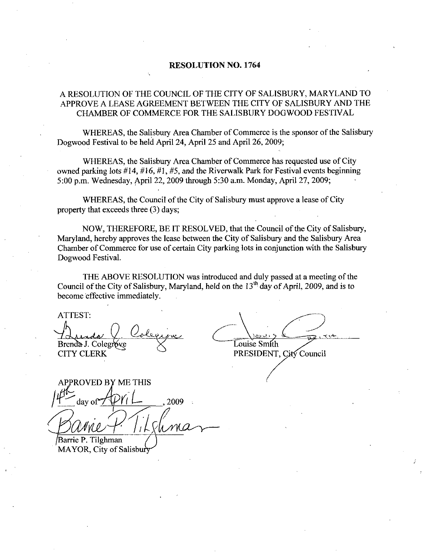### RESOLUTION NO. 1764

## A RESOLUTION OF THE COUNCIL OF THE CITY OF SALISBURY MARYLAND TO APPROVE A LEASE AGREEMENT BETWEEN THE CITY OF SALISBURYAND THE CHAMBER OF COMMERCE FOR THE SALISBURY DOGWOOD FESTIVAL

WHEREAS, the Salisbury Area Chamber of Commerce is the sponsor of the Salisbury Dogwood Festival to be held April 24, April 25 and April 26, 2009;

WHEREAS, the Salisbury Area Chamber of Commerce has requested use of City owned parking lots  $\#14, \#16, \#1, \#5$ , and the Riverwalk Park for Festival events beginning 5:00 p.m. Wednesday, April 22, 2009 through 5:30 a.m. Monday, April 27, 2009;

WHEREAS, the Council of the City of Salisbury must approve a lease of City property that exceeds three  $(3)$  days;

NOW, THEREFORE, BE IT RESOLVED, that the Council of the City of Salisbury, Maryland, hereby approves the lease between the City of Salisbury and the Salisbury Area Chamber of Commerce for use of certain City pazking lots in conjunction with the Salisbury Dogwood Festival

THE ABOVE RESOLUTION was introduced and duly passed at a meeting of the Council of the City of Salisbury, Maryland, held on the  $13<sup>th</sup>$  day of April, 2009, and is to become effective immediately

ATTEST

Bunda Q Colegine Colegine CITY CLERK

PRESIDENT, City Council

PRESIDENT

ROVED BY ME THIS THERE<br>
NOVED BY ME THIS<br>
day of  $\begin{CD} \overline{P}V_1 \perp 2009 \end{CD}$ Barrie P. Tilghman

MAYOR, City of Salisbur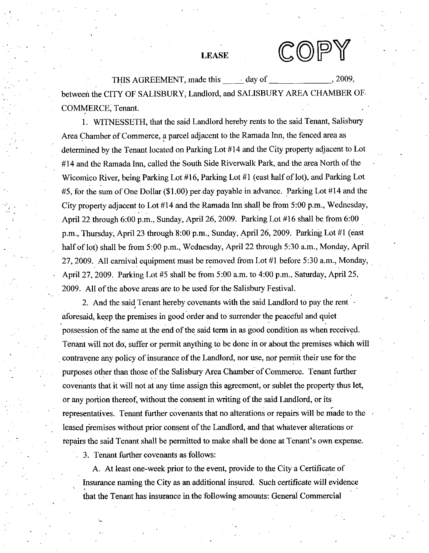LEASE  $\mathbb{C}\mathbb{O}$ 

THIS AGREEMENT made this day of 2009 between the CITY OF SALISBURY, Landlord, and SALISBURY AREA CHAMBER OF COMMERCE, Tenant.

1. WITNESSETH, that the said Landlord hereby rents to the said Tenant, Salisbury Area Chamber of Commerce, a parcel adjacent to the Ramada Inn, the fenced area as determined by the Tenant located on Parking Lot #14 and the City property adjacent to Lot #14 and the Ramada Inn, called the South Side Riverwalk Park, and the area North of the Wicomico River, being Parking Lot #16, Parking Lot #1 (east half of lot), and Parking Lot #14 and the Ramada Inn, called the South Side Riverwalk Park, and the area North of the<br>Wicomico River, being Parking Lot #16, Parking Lot #1 (east half of lot), and Parking Lot<br>#5, for the sum of One Dollar (\$1.00) per d #5, for the sum of One Dollar (\$1.00) per day payable in advance. Parking Lot #14 and the City property adjacent to Lot #14 and the Ramada Inn shall be from 5:00 p.m., Wednesday, City property adjacent to Lot #14 and the Ramada Inn shall be from 5:00 p.m., Wednesday,<br>April 22 through 6:00 p.m., Sunday, April 26, 2009. Parking Lot #16 shall be from 6:00<br>p.m., Thursday, April 23 through 8:00 p.m., S wicomico Kiver, being Parking Lot #10, Parking Lot #1 (east half of lot), and I arking Lot #14 and th<br>#5, for the sum of One Dollar (\$1.00) per day payable in advance. Parking Lot #14 and th<br>City property adjacent to Lot half of lot) shall be from 5:00 p.m., Wednesday, April 22 through 5:30 a.m., Monday, April half of lot) shall be from 5:00 p.m., Wednesday, April 22 through 5:30 a.m., Monday, April 27, 2009. All carnival equipment must be removed from Lot #1 before 5:30 a.m., Monday, 27, 2009. All carnival equipment must be removed from Lot #1 before 5:30 a.m., Mond<br>April 27, 2009. Parking Lot #5 shall be from 5:00 a.m. to 4:00 p.m., Saturday, April 25, 2009. All of the above areas are to be used for the Salisbury Festival.

2 And the said Tenant hereby covenants with the said Landlord to pay the rent aforesaid, keep the premises in good order and to surrender the peaceful and quiet possession of the same at the end of the said term in as good condition as when received Tenant will not do, suffer or permit anything to be done in or about the premises which will contravene any policy of insurance of the Landlord, nor use, nor permit their use for the purposes other than those of the Salisbury Area Chamber of Commerce. Tenant further covenants that it will not at any time assign this agreement, or sublet the property thus let, or any portion thereof, without the consent in writing of the said Landlord, or its representatives. Tenant further covenants that no alterations or repairs will be made to the leased premises without prior consent of the Landlord, and that whatever alterations or or any portion thereof, without the consent in writing of the said Landlord, or its<br>representatives. Tenant further covenants that no alterations or repairs will be made to th<br>leased premises without prior consent of the L

3. Tenant further covenants as follows:

A. At least one-week prior to the event, provide to the City a Certificate of Insurance naming the City as an additional insured. Such certificate will evidence that the Tenant has insurance in the following amounts: General Commercial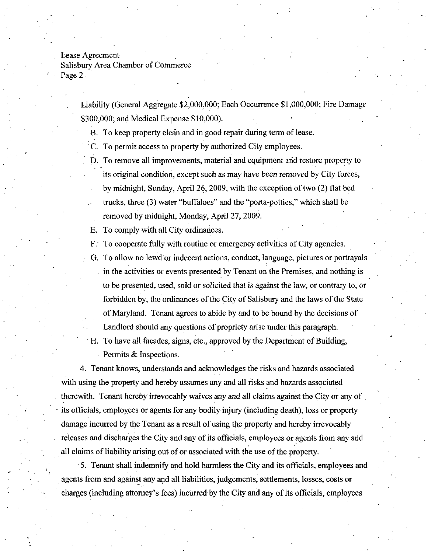Lease Agreement

Salisbury AreaChamber of Commerce Page 2

Agreement<br>
2<br>
Liability (General Aggregate \$2,000,000; Each Occurrence \$1,000,000; Fire Damage<br>
\$300,000; and Medical Expense \$10,000).

- B. To keep property clean and in good repair during term of lease.
- C. To permit access to property by authorized City employees.
- D. To remove all improvements, material and equipment and restore property to its original condition, except such as may have been removed by City forces, by midnight, Sunday, April 26, 2009, with the exception of two  $(2)$  flat bed trucks, three  $(3)$  water "buffaloes" and the "porta-potties," which shall be removed by midnight, Monday, April 27, 2009.

E. To comply with all City ordinances.

F. To cooperate fully with routine or emergency activities of City agencies.

- G. To allow no lewd or indecent actions, conduct, language, pictures or portrayals in the activities or events presented by Tenant on the Premises, and nothing is to be presented, used, sold or solicited that is against the law, or contrary to, or forbidden by, the ordinances of the City of Salisbury and the laws of the State of Maryland. Tenant agrees to abide by and to be bound by the decisions of Landlord should any questions of propriety arise under this paragraph.
- H. To have all facades, signs, etc., approved by the Department of Building, Permits  $\&$  Inspections.

4 Tenant knows understands and acknowledges the risks and hazards associated with using the property and hereby assumes any and all risks and hazards associated therewith. Tenant hereby irrevocably waives any and all claims against the City or any of its officials, employees or agents for any bodily injury (including death), loss or property damage incurred by the Tenant as a result of using the property and hereby irrevocably releases and discharges the City and any of its officials, employees or agents from any and all claims of liability arising out of or associated with the use of the property.

5 Tenant shall indemnify and hold harmless the City and its officials employees and agents from and against any and all liabilities, judgements, settlements, losses, costs or charges (including attorney's fees) incurred by the City and any of its officials, employees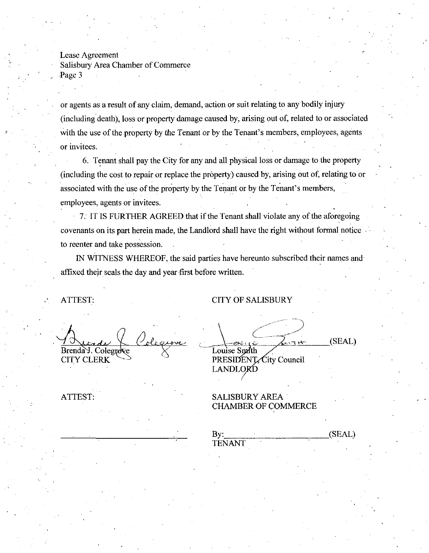Lease Agreement Salisbury Area Chamber of Commerce Page 3

or agents as a result of any claim, demand, action or suit relating to any bodily injury (including death), loss or property damage caused by, arising out of, related to or associated or agents as a result of any claim, demand, action or suit relating to any bodily injury (including death), loss or property damage caused by, arising out of, related to or associat with the use of the property by the Tena or invitees

6 Tenant shall pay the City for any and all physical loss or damage to the property (including the cost to repair or replace the property) caused by, arising out of, relating to or associated with the use of the property by the Tenant or by the Tenant's members, employees, agents or invitees.

7. IT IS FURTHER AGREED that if the Tenant shall violate any of the aforegoing covenants on its part herein made, the Landlord shall have the right without formal notice to reenter and take possession

IN WITNESS WHEREOF, the said parties have hereunto subscribed their names and affixed their seals the day and year first before written

ATTEST: CITY OF SALISBURY

<u>.</u><br><u>re</u> Brenda J. Colegrove **CITY CLERK** 

(SEAL) Louise Smith PRESIDENT City Council LANDLORD

ATTEST: SALISBURY AREA CHAMBER OF COMMERCE

(SEAL)  $By:$ TENANT